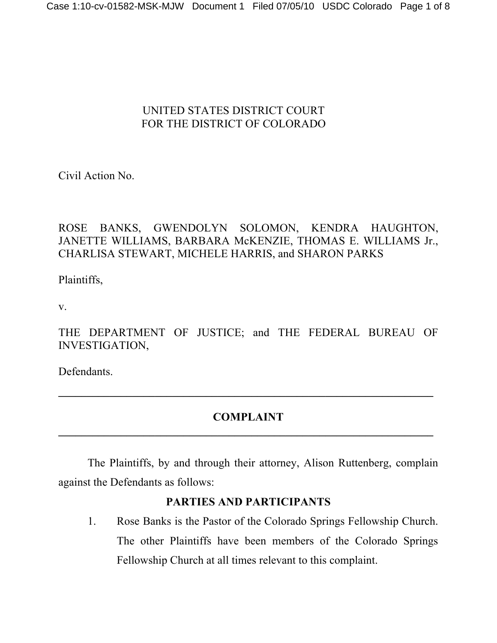## UNITED STATES DISTRICT COURT FOR THE DISTRICT OF COLORADO

Civil Action No.

# ROSE BANKS, GWENDOLYN SOLOMON, KENDRA HAUGHTON, JANETTE WILLIAMS, BARBARA McKENZIE, THOMAS E. WILLIAMS Jr., CHARLISA STEWART, MICHELE HARRIS, and SHARON PARKS

Plaintiffs,

v.

THE DEPARTMENT OF JUSTICE; and THE FEDERAL BUREAU OF INVESTIGATION,

Defendants.

# **COMPLAINT**

**\_\_\_\_\_\_\_\_\_\_\_\_\_\_\_\_\_\_\_\_\_\_\_\_\_\_\_\_\_\_\_\_\_\_\_\_\_\_\_\_\_\_\_\_\_\_\_\_\_\_\_\_\_\_\_\_\_\_\_\_\_\_\_\_\_\_**

 The Plaintiffs, by and through their attorney, Alison Ruttenberg, complain against the Defendants as follows:

# **PARTIES AND PARTICIPANTS**

1. Rose Banks is the Pastor of the Colorado Springs Fellowship Church. The other Plaintiffs have been members of the Colorado Springs Fellowship Church at all times relevant to this complaint.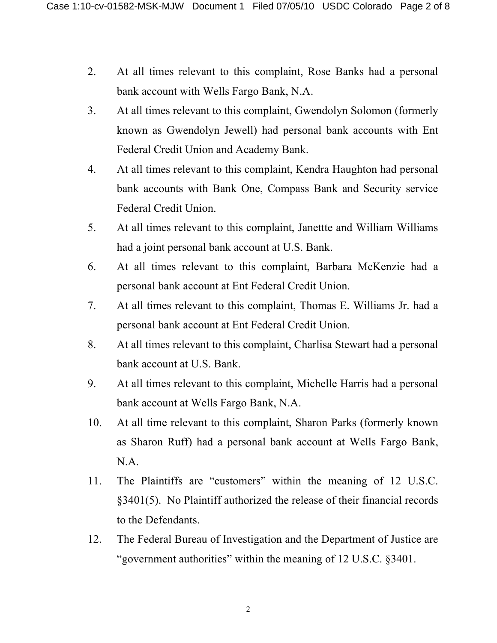- 2. At all times relevant to this complaint, Rose Banks had a personal bank account with Wells Fargo Bank, N.A.
- 3. At all times relevant to this complaint, Gwendolyn Solomon (formerly known as Gwendolyn Jewell) had personal bank accounts with Ent Federal Credit Union and Academy Bank.
- 4. At all times relevant to this complaint, Kendra Haughton had personal bank accounts with Bank One, Compass Bank and Security service Federal Credit Union.
- 5. At all times relevant to this complaint, Janettte and William Williams had a joint personal bank account at U.S. Bank.
- 6. At all times relevant to this complaint, Barbara McKenzie had a personal bank account at Ent Federal Credit Union.
- 7. At all times relevant to this complaint, Thomas E. Williams Jr. had a personal bank account at Ent Federal Credit Union.
- 8. At all times relevant to this complaint, Charlisa Stewart had a personal bank account at U.S. Bank.
- 9. At all times relevant to this complaint, Michelle Harris had a personal bank account at Wells Fargo Bank, N.A.
- 10. At all time relevant to this complaint, Sharon Parks (formerly known as Sharon Ruff) had a personal bank account at Wells Fargo Bank, N.A.
- 11. The Plaintiffs are "customers" within the meaning of 12 U.S.C. §3401(5). No Plaintiff authorized the release of their financial records to the Defendants.
- 12. The Federal Bureau of Investigation and the Department of Justice are "government authorities" within the meaning of 12 U.S.C. §3401.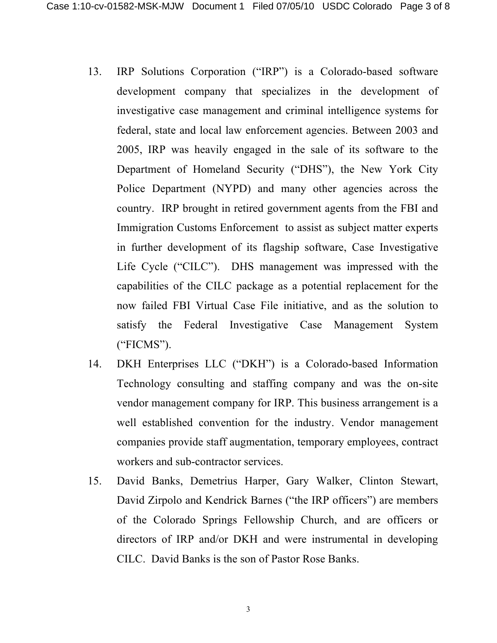- 13. IRP Solutions Corporation ("IRP") is a Colorado-based software development company that specializes in the development of investigative case management and criminal intelligence systems for federal, state and local law enforcement agencies. Between 2003 and 2005, IRP was heavily engaged in the sale of its software to the Department of Homeland Security ("DHS"), the New York City Police Department (NYPD) and many other agencies across the country. IRP brought in retired government agents from the FBI and Immigration Customs Enforcement to assist as subject matter experts in further development of its flagship software, Case Investigative Life Cycle ("CILC"). DHS management was impressed with the capabilities of the CILC package as a potential replacement for the now failed FBI Virtual Case File initiative, and as the solution to satisfy the Federal Investigative Case Management System ("FICMS").
- 14. DKH Enterprises LLC ("DKH") is a Colorado-based Information Technology consulting and staffing company and was the on-site vendor management company for IRP. This business arrangement is a well established convention for the industry. Vendor management companies provide staff augmentation, temporary employees, contract workers and sub-contractor services.
- 15. David Banks, Demetrius Harper, Gary Walker, Clinton Stewart, David Zirpolo and Kendrick Barnes ("the IRP officers") are members of the Colorado Springs Fellowship Church, and are officers or directors of IRP and/or DKH and were instrumental in developing CILC. David Banks is the son of Pastor Rose Banks.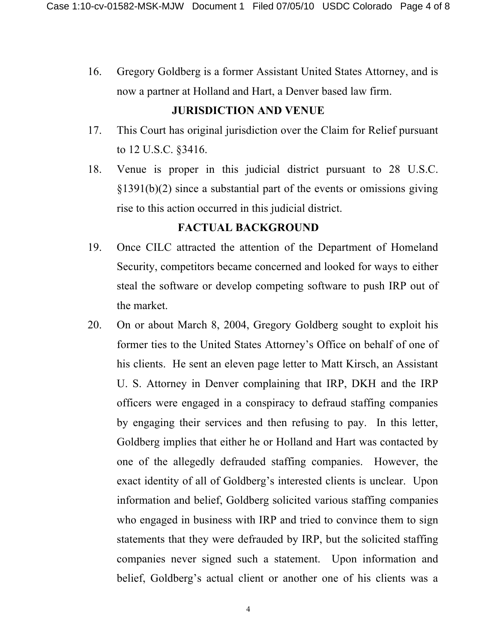16. Gregory Goldberg is a former Assistant United States Attorney, and is now a partner at Holland and Hart, a Denver based law firm.

#### **JURISDICTION AND VENUE**

- 17. This Court has original jurisdiction over the Claim for Relief pursuant to 12 U.S.C. §3416.
- 18. Venue is proper in this judicial district pursuant to 28 U.S.C. §1391(b)(2) since a substantial part of the events or omissions giving rise to this action occurred in this judicial district.

#### **FACTUAL BACKGROUND**

- 19. Once CILC attracted the attention of the Department of Homeland Security, competitors became concerned and looked for ways to either steal the software or develop competing software to push IRP out of the market.
- 20. On or about March 8, 2004, Gregory Goldberg sought to exploit his former ties to the United States Attorney's Office on behalf of one of his clients. He sent an eleven page letter to Matt Kirsch, an Assistant U. S. Attorney in Denver complaining that IRP, DKH and the IRP officers were engaged in a conspiracy to defraud staffing companies by engaging their services and then refusing to pay. In this letter, Goldberg implies that either he or Holland and Hart was contacted by one of the allegedly defrauded staffing companies. However, the exact identity of all of Goldberg's interested clients is unclear. Upon information and belief, Goldberg solicited various staffing companies who engaged in business with IRP and tried to convince them to sign statements that they were defrauded by IRP, but the solicited staffing companies never signed such a statement. Upon information and belief, Goldberg's actual client or another one of his clients was a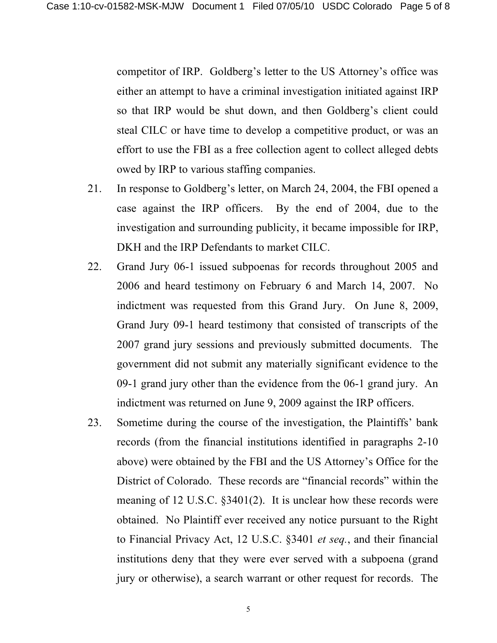competitor of IRP. Goldberg's letter to the US Attorney's office was either an attempt to have a criminal investigation initiated against IRP so that IRP would be shut down, and then Goldberg's client could steal CILC or have time to develop a competitive product, or was an effort to use the FBI as a free collection agent to collect alleged debts owed by IRP to various staffing companies.

- 21. In response to Goldberg's letter, on March 24, 2004, the FBI opened a case against the IRP officers. By the end of 2004, due to the investigation and surrounding publicity, it became impossible for IRP, DKH and the IRP Defendants to market CILC.
- 22. Grand Jury 06-1 issued subpoenas for records throughout 2005 and 2006 and heard testimony on February 6 and March 14, 2007. No indictment was requested from this Grand Jury. On June 8, 2009, Grand Jury 09-1 heard testimony that consisted of transcripts of the 2007 grand jury sessions and previously submitted documents. The government did not submit any materially significant evidence to the 09-1 grand jury other than the evidence from the 06-1 grand jury. An indictment was returned on June 9, 2009 against the IRP officers.
- 23. Sometime during the course of the investigation, the Plaintiffs' bank records (from the financial institutions identified in paragraphs 2-10 above) were obtained by the FBI and the US Attorney's Office for the District of Colorado. These records are "financial records" within the meaning of 12 U.S.C. §3401(2). It is unclear how these records were obtained. No Plaintiff ever received any notice pursuant to the Right to Financial Privacy Act, 12 U.S.C. §3401 *et seq.*, and their financial institutions deny that they were ever served with a subpoena (grand jury or otherwise), a search warrant or other request for records. The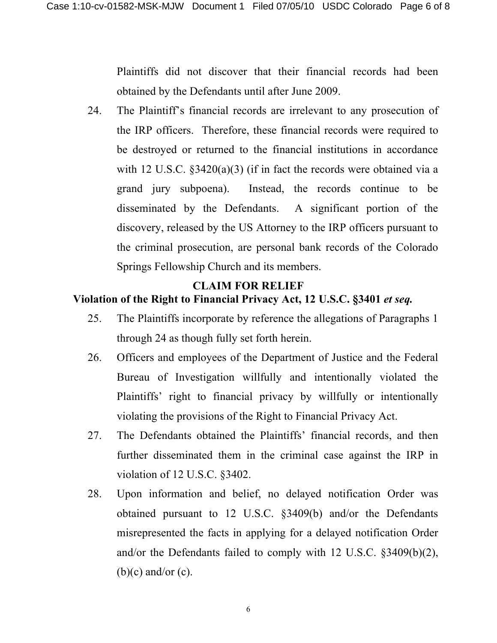Plaintiffs did not discover that their financial records had been obtained by the Defendants until after June 2009.

24. The Plaintiff's financial records are irrelevant to any prosecution of the IRP officers. Therefore, these financial records were required to be destroyed or returned to the financial institutions in accordance with 12 U.S.C.  $\S 3420(a)(3)$  (if in fact the records were obtained via a grand jury subpoena). Instead, the records continue to be disseminated by the Defendants. A significant portion of the discovery, released by the US Attorney to the IRP officers pursuant to the criminal prosecution, are personal bank records of the Colorado Springs Fellowship Church and its members.

#### **CLAIM FOR RELIEF Violation of the Right to Financial Privacy Act, 12 U.S.C. §3401** *et seq.*

- 25. The Plaintiffs incorporate by reference the allegations of Paragraphs 1 through 24 as though fully set forth herein.
- 26. Officers and employees of the Department of Justice and the Federal Bureau of Investigation willfully and intentionally violated the Plaintiffs' right to financial privacy by willfully or intentionally violating the provisions of the Right to Financial Privacy Act.
- 27. The Defendants obtained the Plaintiffs' financial records, and then further disseminated them in the criminal case against the IRP in violation of 12 U.S.C. §3402.
- 28. Upon information and belief, no delayed notification Order was obtained pursuant to 12 U.S.C. §3409(b) and/or the Defendants misrepresented the facts in applying for a delayed notification Order and/or the Defendants failed to comply with 12 U.S.C. §3409(b)(2),  $(b)(c)$  and/or  $(c)$ .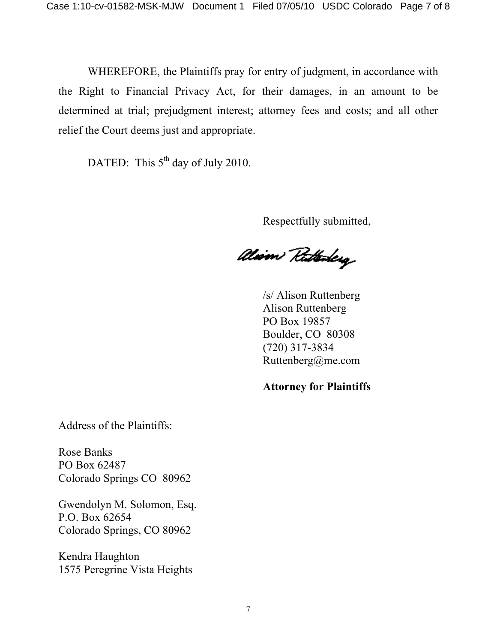WHEREFORE, the Plaintiffs pray for entry of judgment, in accordance with the Right to Financial Privacy Act, for their damages, in an amount to be determined at trial; prejudgment interest; attorney fees and costs; and all other relief the Court deems just and appropriate.

DATED: This  $5<sup>th</sup>$  day of July 2010.

Respectfully submitted,

alism Ruthoday

/s/ Alison Ruttenberg Alison Ruttenberg PO Box 19857 Boulder, CO 80308 (720) 317-3834 Ruttenberg@me.com

**Attorney for Plaintiffs**

Address of the Plaintiffs:

Rose Banks PO Box 62487 Colorado Springs CO 80962

Gwendolyn M. Solomon, Esq. P.O. Box 62654 Colorado Springs, CO 80962

Kendra Haughton 1575 Peregrine Vista Heights